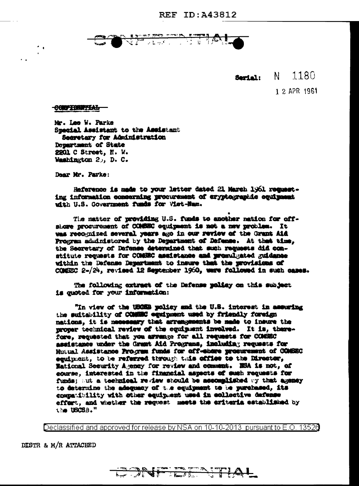

1180 Serial:  $N$ 

1 2 APR 1961

**CONFIDENTIAL** 

 $\sim$ 

Mr. Lee W. Parke Special Assistant to the Assistant Seeretary for Administration Department of State 2201 C Street, N. W. Washington 2, D. C.

Dear Mr. Parke:

Reference is made to your letter dated 21 March 1961 requesting information concerning procurement of eryptographic equipment with U.S. Government funds for Viet-Nam.

The matter of providing U.S. funds to another nation for offshore procurement of COMMOC equipment is not a new problem. It was recognized several years ago in our review of the Grant Aid Program administered by the Department of Defense. At that time, the Secretary of Defense determined that such requests did constitute requests for COMEEC assistance and premulgated guidance within the Defense Department to insure that the provisions of COMEEC 2-/24, revised 12 September 1960, were followed in such cases.

The following extract of the Defense policy on this subject is quoted for your information:

"In view of the USCEB policy and the U.S. interest in assuring the suitability of COMMOC equipment used by friendly foreign nations, it is necessary that arrangements be made to insure the moner technical review of the equipment involved. It is, therefore, requested that you arrange for all requests for COMERC assistance under the Grant Aid Programs, including requests for Mutual Assistance Program funds for off-share prosurement of COSEC equipment, to be referred through this office to the Director. Mational Security Agency for review and comment. NSA is not, of course, interested in the financial aspects of such requests for funds; at a technical review should be accomplished by that agency to determine the adequacy of the equipment to be purchased, its compatibility with other equipment used in collective dafense effort, and whether the request meets the eriteria established by the USCSB."

Declassified and approved for release by NSA on 10-10-2013 pursuant to E.O. 13528

DISTR & M/R ATTACHED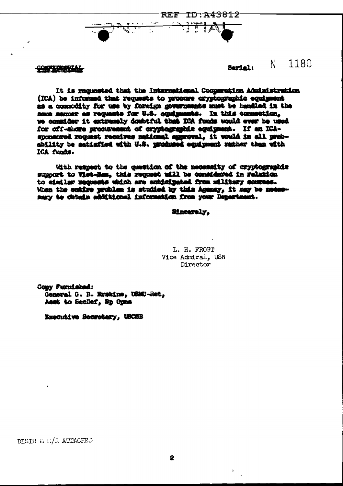TD:A43812 REF-

**CONFIDENTAL** 

## 1180 N. Sarial:

It is requested that the International Cooperation Administration (ICA) be informed that requests to procure cryptographic equipment as a commodity for use by foreign governments must be handled in the sene manner as requests for U.S. equiposats. In this connection, we commider it extremaly doubtful that ICA funds would ever be used for off-shore procurement of cryptographic equipment. If an ICAsponsored request receives national aggroval, it would in all probshility be satisfied with U.S. mendumed equipment rather than with ICA funds.

With respect to the cussiton of the necessity of crypbooranhic support to Viet-Ham, this request will be considered in relation to aimiler requests which are anticipated from military sources. When the emiire mrchlam is studied by this Acompy, it may be necessary to dotain additional information from your Department.

## Sincerely.

L. H. FROST Vice Admiral. USN Director

Cony Furnished: General G. B. Erskine, USMC-Ret, Asst to SecDef, Sp Opns

Emerative Secretary, USCSB

DISTR & L/R ATTACHED